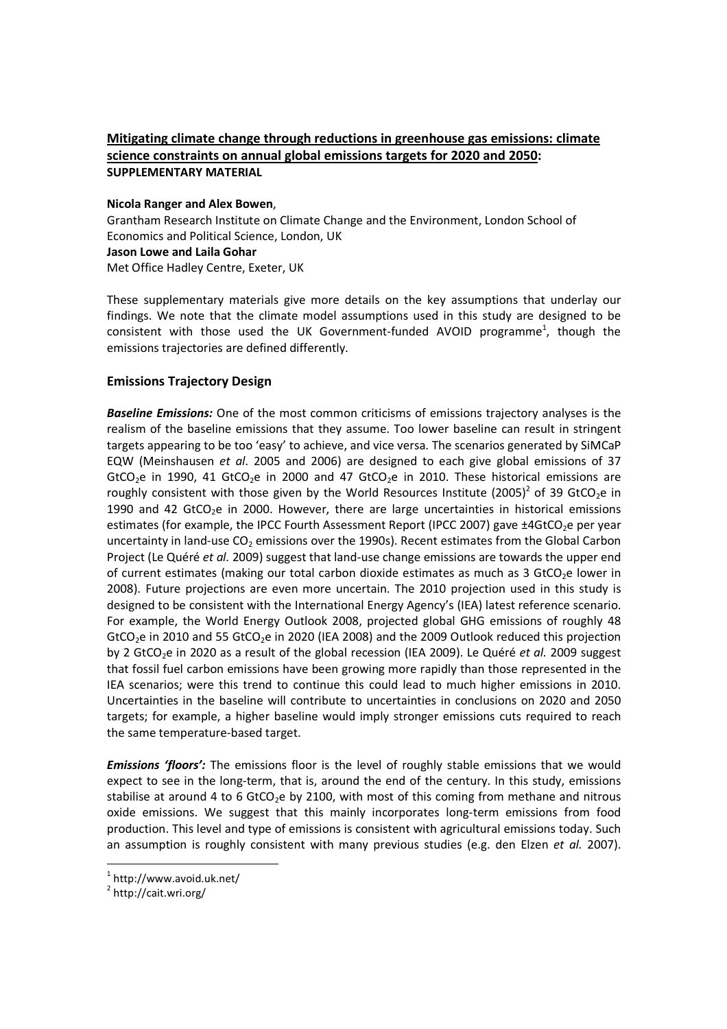# **Mitigating climate change through reductions in greenhouse gas emissions: climate science constraints on annual global emissions targets for 2020 and 2050: SUPPLEMENTARY MATERIAL**

#### **Nicola Ranger and Alex Bowen**,

Grantham Research Institute on Climate Change and the Environment, London School of Economics and Political Science, London, UK

#### **Jason Lowe and Laila Gohar**

Met Office Hadley Centre, Exeter, UK

These supplementary materials give more details on the key assumptions that underlay our findings. We note that the climate model assumptions used in this study are designed to be consistent with those used the UK Government-funded AVOID programme<sup>1</sup>, though the emissions trajectories are defined differently.

# **Emissions Trajectory Design**

*Baseline Emissions:* One of the most common criticisms of emissions trajectory analyses is the realism of the baseline emissions that they assume. Too lower baseline can result in stringent targets appearing to be too 'easy' to achieve, and vice versa. The scenarios generated by SiMCaP EQW (Meinshausen *et al*. 2005 and 2006) are designed to each give global emissions of 37 GtCO<sub>2</sub>e in 1990, 41 GtCO<sub>2</sub>e in 2000 and 47 GtCO<sub>2</sub>e in 2010. These historical emissions are roughly consistent with those given by the World Resources Institute (2005)<sup>2</sup> of 39 GtCO<sub>2</sub>e in 1990 and 42 GtCO<sub>2</sub>e in 2000. However, there are large uncertainties in historical emissions estimates (for example, the IPCC Fourth Assessment Report (IPCC 2007) gave ±4GtCO<sub>2</sub>e per year uncertainty in land-use  $CO<sub>2</sub>$  emissions over the 1990s). Recent estimates from the Global Carbon Project (Le Quéré *et al.* 2009) suggest that land-use change emissions are towards the upper end of current estimates (making our total carbon dioxide estimates as much as 3 GtCO<sub>2</sub>e lower in 2008). Future projections are even more uncertain. The 2010 projection used in this study is designed to be consistent with the International Energy Agency's (IEA) latest reference scenario. For example, the World Energy Outlook 2008, projected global GHG emissions of roughly 48 GtCO<sub>2</sub>e in 2010 and 55 GtCO<sub>2</sub>e in 2020 (IEA 2008) and the 2009 Outlook reduced this projection by 2 GtCO<sub>2</sub>e in 2020 as a result of the global recession (IEA 2009). Le Quéré *et al.* 2009 suggest that fossil fuel carbon emissions have been growing more rapidly than those represented in the IEA scenarios; were this trend to continue this could lead to much higher emissions in 2010. Uncertainties in the baseline will contribute to uncertainties in conclusions on 2020 and 2050 targets; for example, a higher baseline would imply stronger emissions cuts required to reach the same temperature-based target.

*Emissions 'floors':* The emissions floor is the level of roughly stable emissions that we would expect to see in the long-term, that is, around the end of the century. In this study, emissions stabilise at around 4 to 6 GtCO<sub>2</sub>e by 2100, with most of this coming from methane and nitrous oxide emissions. We suggest that this mainly incorporates long-term emissions from food production. This level and type of emissions is consistent with agricultural emissions today. Such an assumption is roughly consistent with many previous studies (e.g. den Elzen *et al.* 2007).

l

 $1$  http://www.avoid.uk.net/

<sup>&</sup>lt;sup>2</sup> http://cait.wri.org/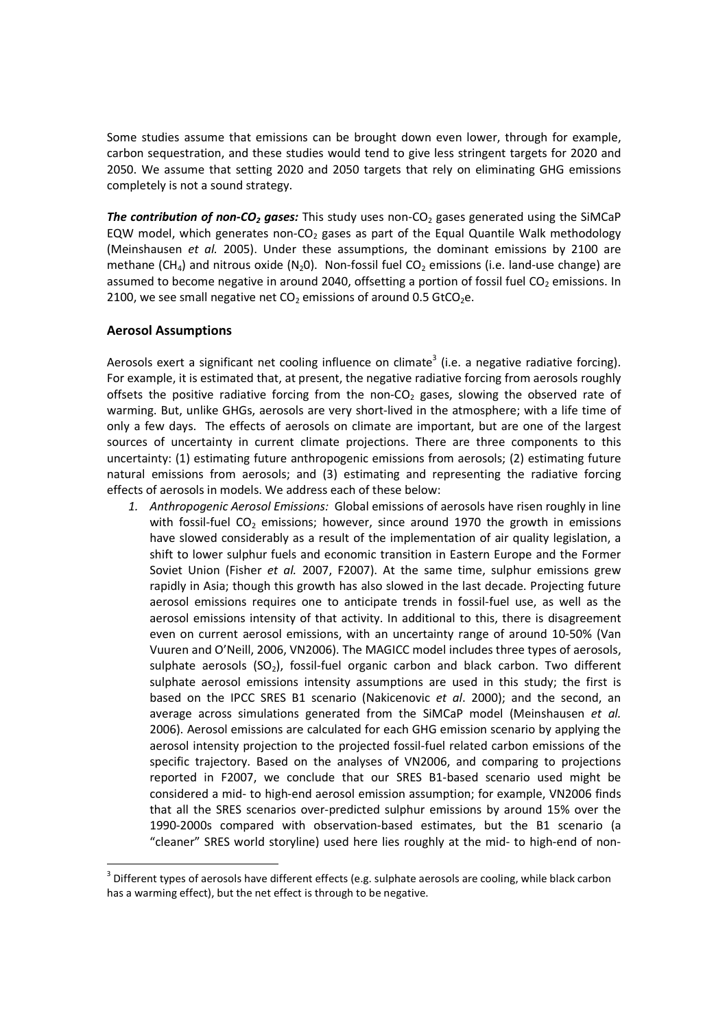Some studies assume that emissions can be brought down even lower, through for example, carbon sequestration, and these studies would tend to give less stringent targets for 2020 and 2050. We assume that setting 2020 and 2050 targets that rely on eliminating GHG emissions completely is not a sound strategy.

*The contribution of non-CO<sub>2</sub> gases:* This study uses non-CO<sub>2</sub> gases generated using the SiMCaP EQW model, which generates non-CO<sub>2</sub> gases as part of the Equal Quantile Walk methodology (Meinshausen *et al.* 2005). Under these assumptions, the dominant emissions by 2100 are methane (CH<sub>4</sub>) and nitrous oxide (N<sub>2</sub>O). Non-fossil fuel CO<sub>2</sub> emissions (i.e. land-use change) are assumed to become negative in around 2040, offsetting a portion of fossil fuel  $CO<sub>2</sub>$  emissions. In 2100, we see small negative net  $CO<sub>2</sub>$  emissions of around 0.5 GtCO<sub>2</sub>e.

### **Aerosol Assumptions**

l

Aerosols exert a significant net cooling influence on climate<sup>3</sup> (i.e. a negative radiative forcing). For example, it is estimated that, at present, the negative radiative forcing from aerosols roughly offsets the positive radiative forcing from the non-CO<sub>2</sub> gases, slowing the observed rate of warming. But, unlike GHGs, aerosols are very short-lived in the atmosphere; with a life time of only a few days. The effects of aerosols on climate are important, but are one of the largest sources of uncertainty in current climate projections. There are three components to this uncertainty: (1) estimating future anthropogenic emissions from aerosols; (2) estimating future natural emissions from aerosols; and (3) estimating and representing the radiative forcing effects of aerosols in models. We address each of these below:

*1. Anthropogenic Aerosol Emissions:* Global emissions of aerosols have risen roughly in line with fossil-fuel CO<sub>2</sub> emissions; however, since around 1970 the growth in emissions have slowed considerably as a result of the implementation of air quality legislation, a shift to lower sulphur fuels and economic transition in Eastern Europe and the Former Soviet Union (Fisher *et al.* 2007, F2007). At the same time, sulphur emissions grew rapidly in Asia; though this growth has also slowed in the last decade. Projecting future aerosol emissions requires one to anticipate trends in fossil-fuel use, as well as the aerosol emissions intensity of that activity. In additional to this, there is disagreement even on current aerosol emissions, with an uncertainty range of around 10-50% (Van Vuuren and O'Neill, 2006, VN2006). The MAGICC model includes three types of aerosols, sulphate aerosols  $(SO<sub>2</sub>)$ , fossil-fuel organic carbon and black carbon. Two different sulphate aerosol emissions intensity assumptions are used in this study; the first is based on the IPCC SRES B1 scenario (Nakicenovic *et al*. 2000); and the second, an average across simulations generated from the SiMCaP model (Meinshausen *et al.* 2006). Aerosol emissions are calculated for each GHG emission scenario by applying the aerosol intensity projection to the projected fossil-fuel related carbon emissions of the specific trajectory. Based on the analyses of VN2006, and comparing to projections reported in F2007, we conclude that our SRES B1-based scenario used might be considered a mid- to high-end aerosol emission assumption; for example, VN2006 finds that all the SRES scenarios over-predicted sulphur emissions by around 15% over the 1990-2000s compared with observation-based estimates, but the B1 scenario (a "cleaner" SRES world storyline) used here lies roughly at the mid- to high-end of non-

 $^3$  Different types of aerosols have different effects (e.g. sulphate aerosols are cooling, while black carbon has a warming effect), but the net effect is through to be negative.